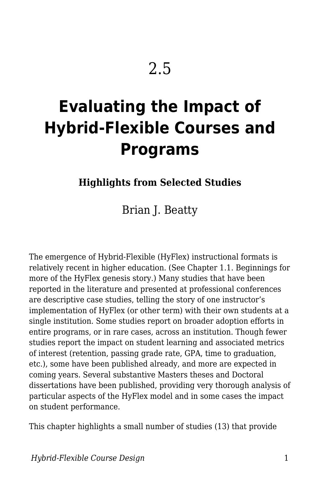# **Evaluating the Impact of Hybrid-Flexible Courses and Programs**

**Highlights from Selected Studies**

Brian J. Beatty

The emergence of Hybrid-Flexible (HyFlex) instructional formats is relatively recent in higher education. (See Chapter 1.1. Beginnings for more of the HyFlex genesis story.) Many studies that have been reported in the literature and presented at professional conferences are descriptive case studies, telling the story of one instructor's implementation of HyFlex (or other term) with their own students at a single institution. Some studies report on broader adoption efforts in entire programs, or in rare cases, across an institution. Though fewer studies report the impact on student learning and associated metrics of interest (retention, passing grade rate, GPA, time to graduation, etc.), some have been published already, and more are expected in coming years. Several substantive Masters theses and Doctoral dissertations have been published, providing very thorough analysis of particular aspects of the HyFlex model and in some cases the impact on student performance.

This chapter highlights a small number of studies (13) that provide

*Hybrid-Flexible Course Design* 1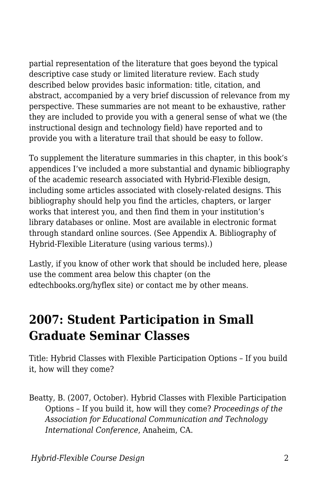partial representation of the literature that goes beyond the typical descriptive case study or limited literature review. Each study described below provides basic information: title, citation, and abstract, accompanied by a very brief discussion of relevance from my perspective. These summaries are not meant to be exhaustive, rather they are included to provide you with a general sense of what we (the instructional design and technology field) have reported and to provide you with a literature trail that should be easy to follow.

To supplement the literature summaries in this chapter, in this book's appendices I've included a more substantial and dynamic bibliography of the academic research associated with Hybrid-Flexible design, including some articles associated with closely-related designs. This bibliography should help you find the articles, chapters, or larger works that interest you, and then find them in your institution's library databases or online. Most are available in electronic format through standard online sources. (See Appendix A. Bibliography of Hybrid-Flexible Literature (using various terms).)

Lastly, if you know of other work that should be included here, please use the comment area below this chapter (on the edtechbooks.org/hyflex site) or contact me by other means.

### **2007: Student Participation in Small Graduate Seminar Classes**

Title: Hybrid Classes with Flexible Participation Options – If you build it, how will they come?

Beatty, B. (2007, October). Hybrid Classes with Flexible Participation Options – If you build it, how will they come? *Proceedings of the Association for Educational Communication and Technology International Conference*, Anaheim, CA.

*Hybrid-Flexible Course Design* 2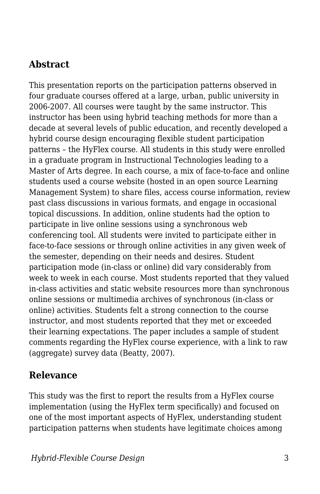#### **Abstract**

This presentation reports on the participation patterns observed in four graduate courses offered at a large, urban, public university in 2006-2007. All courses were taught by the same instructor. This instructor has been using hybrid teaching methods for more than a decade at several levels of public education, and recently developed a hybrid course design encouraging flexible student participation patterns – the HyFlex course. All students in this study were enrolled in a graduate program in Instructional Technologies leading to a Master of Arts degree. In each course, a mix of face-to-face and online students used a course website (hosted in an open source Learning Management System) to share files, access course information, review past class discussions in various formats, and engage in occasional topical discussions. In addition, online students had the option to participate in live online sessions using a synchronous web conferencing tool. All students were invited to participate either in face-to-face sessions or through online activities in any given week of the semester, depending on their needs and desires. Student participation mode (in-class or online) did vary considerably from week to week in each course. Most students reported that they valued in-class activities and static website resources more than synchronous online sessions or multimedia archives of synchronous (in-class or online) activities. Students felt a strong connection to the course instructor, and most students reported that they met or exceeded their learning expectations. The paper includes a sample of student comments regarding the HyFlex course experience, with a link to raw (aggregate) survey data (Beatty, 2007).

#### **Relevance**

This study was the first to report the results from a HyFlex course implementation (using the HyFlex term specifically) and focused on one of the most important aspects of HyFlex, understanding student participation patterns when students have legitimate choices among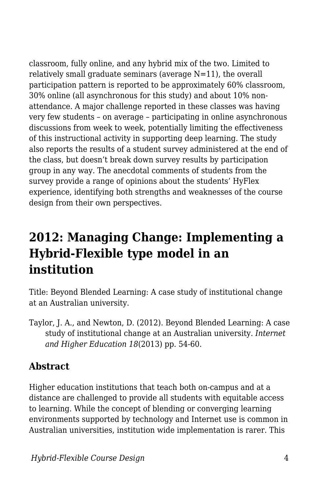classroom, fully online, and any hybrid mix of the two. Limited to relatively small graduate seminars (average  $N=11$ ), the overall participation pattern is reported to be approximately 60% classroom, 30% online (all asynchronous for this study) and about 10% nonattendance. A major challenge reported in these classes was having very few students – on average – participating in online asynchronous discussions from week to week, potentially limiting the effectiveness of this instructional activity in supporting deep learning. The study also reports the results of a student survey administered at the end of the class, but doesn't break down survey results by participation group in any way. The anecdotal comments of students from the survey provide a range of opinions about the students' HyFlex experience, identifying both strengths and weaknesses of the course design from their own perspectives.

# **2012: Managing Change: Implementing a Hybrid-Flexible type model in an institution**

Title: Beyond Blended Learning: A case study of institutional change at an Australian university.

Taylor, J. A., and Newton, D. (2012). Beyond Blended Learning: A case study of institutional change at an Australian university. *Internet and Higher Education 18*(2013) pp. 54-60.

#### **Abstract**

Higher education institutions that teach both on-campus and at a distance are challenged to provide all students with equitable access to learning. While the concept of blending or converging learning environments supported by technology and Internet use is common in Australian universities, institution wide implementation is rarer. This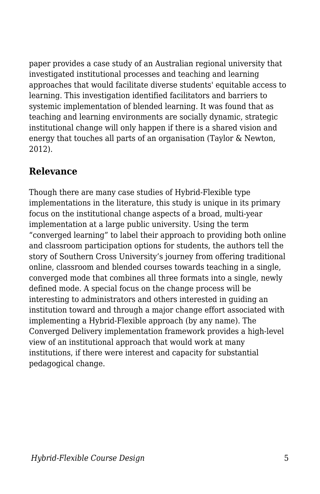paper provides a case study of an Australian regional university that investigated institutional processes and teaching and learning approaches that would facilitate diverse students' equitable access to learning. This investigation identified facilitators and barriers to systemic implementation of blended learning. It was found that as teaching and learning environments are socially dynamic, strategic institutional change will only happen if there is a shared vision and energy that touches all parts of an organisation (Taylor & Newton, 2012).

#### **Relevance**

Though there are many case studies of Hybrid-Flexible type implementations in the literature, this study is unique in its primary focus on the institutional change aspects of a broad, multi-year implementation at a large public university. Using the term "converged learning" to label their approach to providing both online and classroom participation options for students, the authors tell the story of Southern Cross University's journey from offering traditional online, classroom and blended courses towards teaching in a single, converged mode that combines all three formats into a single, newly defined mode. A special focus on the change process will be interesting to administrators and others interested in guiding an institution toward and through a major change effort associated with implementing a Hybrid-Flexible approach (by any name). The Converged Delivery implementation framework provides a high-level view of an institutional approach that would work at many institutions, if there were interest and capacity for substantial pedagogical change.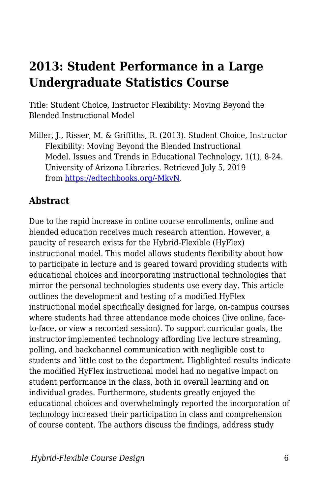# **2013: Student Performance in a Large Undergraduate Statistics Course**

Title: Student Choice, Instructor Flexibility: Moving Beyond the Blended Instructional Model

Miller, J., Risser, M. & Griffiths, R. (2013). Student Choice, Instructor Flexibility: Moving Beyond the Blended Instructional Model. Issues and Trends in Educational Technology, 1(1), 8-24. University of Arizona Libraries. Retrieved July 5, 2019 from [https://edtechbooks.org/-MkvN](https://www.learntechlib.org/p/129818/).

#### **Abstract**

Due to the rapid increase in online course enrollments, online and blended education receives much research attention. However, a paucity of research exists for the Hybrid-Flexible (HyFlex) instructional model. This model allows students flexibility about how to participate in lecture and is geared toward providing students with educational choices and incorporating instructional technologies that mirror the personal technologies students use every day. This article outlines the development and testing of a modified HyFlex instructional model specifically designed for large, on-campus courses where students had three attendance mode choices (live online, faceto-face, or view a recorded session). To support curricular goals, the instructor implemented technology affording live lecture streaming, polling, and backchannel communication with negligible cost to students and little cost to the department. Highlighted results indicate the modified HyFlex instructional model had no negative impact on student performance in the class, both in overall learning and on individual grades. Furthermore, students greatly enjoyed the educational choices and overwhelmingly reported the incorporation of technology increased their participation in class and comprehension of course content. The authors discuss the findings, address study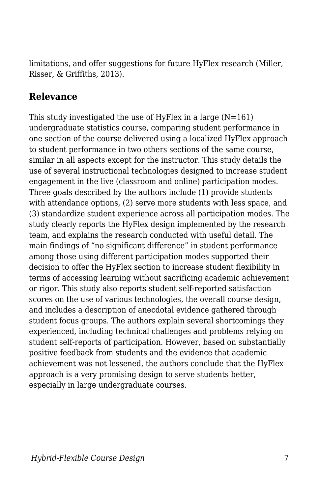limitations, and offer suggestions for future HyFlex research (Miller, Risser, & Griffiths, 2013).

#### **Relevance**

This study investigated the use of HyFlex in a large  $(N=161)$ undergraduate statistics course, comparing student performance in one section of the course delivered using a localized HyFlex approach to student performance in two others sections of the same course, similar in all aspects except for the instructor. This study details the use of several instructional technologies designed to increase student engagement in the live (classroom and online) participation modes. Three goals described by the authors include (1) provide students with attendance options, (2) serve more students with less space, and (3) standardize student experience across all participation modes. The study clearly reports the HyFlex design implemented by the research team, and explains the research conducted with useful detail. The main findings of "no significant difference" in student performance among those using different participation modes supported their decision to offer the HyFlex section to increase student flexibility in terms of accessing learning without sacrificing academic achievement or rigor. This study also reports student self-reported satisfaction scores on the use of various technologies, the overall course design, and includes a description of anecdotal evidence gathered through student focus groups. The authors explain several shortcomings they experienced, including technical challenges and problems relying on student self-reports of participation. However, based on substantially positive feedback from students and the evidence that academic achievement was not lessened, the authors conclude that the HyFlex approach is a very promising design to serve students better, especially in large undergraduate courses.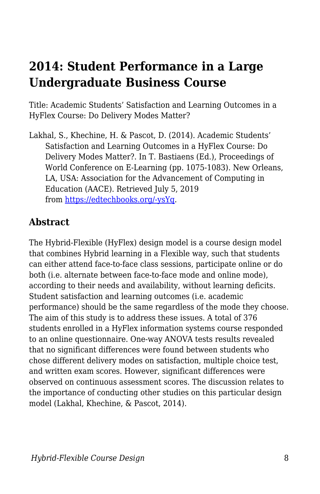### **2014: Student Performance in a Large Undergraduate Business Course**

Title: Academic Students' Satisfaction and Learning Outcomes in a HyFlex Course: Do Delivery Modes Matter?

Lakhal, S., Khechine, H. & Pascot, D. (2014). Academic Students' Satisfaction and Learning Outcomes in a HyFlex Course: Do Delivery Modes Matter?. In T. Bastiaens (Ed.), Proceedings of World Conference on E-Learning (pp. 1075-1083). New Orleans, LA, USA: Association for the Advancement of Computing in Education (AACE). Retrieved July 5, 2019 from [https://edtechbooks.org/-ysYq](https://www.learntechlib.org/primary/p/148994/).

#### **Abstract**

The Hybrid-Flexible (HyFlex) design model is a course design model that combines Hybrid learning in a Flexible way, such that students can either attend face-to-face class sessions, participate online or do both (i.e. alternate between face-to-face mode and online mode), according to their needs and availability, without learning deficits. Student satisfaction and learning outcomes (i.e. academic performance) should be the same regardless of the mode they choose. The aim of this study is to address these issues. A total of 376 students enrolled in a HyFlex information systems course responded to an online questionnaire. One-way ANOVA tests results revealed that no significant differences were found between students who chose different delivery modes on satisfaction, multiple choice test, and written exam scores. However, significant differences were observed on continuous assessment scores. The discussion relates to the importance of conducting other studies on this particular design model (Lakhal, Khechine, & Pascot, 2014).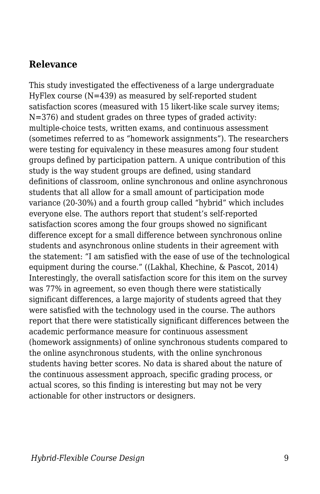#### **Relevance**

This study investigated the effectiveness of a large undergraduate HyFlex course (N=439) as measured by self-reported student satisfaction scores (measured with 15 likert-like scale survey items; N=376) and student grades on three types of graded activity: multiple-choice tests, written exams, and continuous assessment (sometimes referred to as "homework assignments"). The researchers were testing for equivalency in these measures among four student groups defined by participation pattern. A unique contribution of this study is the way student groups are defined, using standard definitions of classroom, online synchronous and online asynchronous students that all allow for a small amount of participation mode variance (20-30%) and a fourth group called "hybrid" which includes everyone else. The authors report that student's self-reported satisfaction scores among the four groups showed no significant difference except for a small difference between synchronous online students and asynchronous online students in their agreement with the statement: "I am satisfied with the ease of use of the technological equipment during the course." ((Lakhal, Khechine, & Pascot, 2014) Interestingly, the overall satisfaction score for this item on the survey was 77% in agreement, so even though there were statistically significant differences, a large majority of students agreed that they were satisfied with the technology used in the course. The authors report that there were statistically significant differences between the academic performance measure for continuous assessment (homework assignments) of online synchronous students compared to the online asynchronous students, with the online synchronous students having better scores. No data is shared about the nature of the continuous assessment approach, specific grading process, or actual scores, so this finding is interesting but may not be very actionable for other instructors or designers.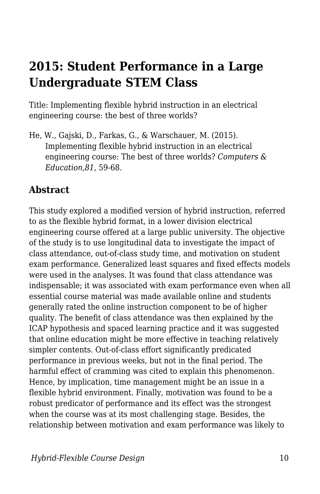### **2015: Student Performance in a Large Undergraduate STEM Class**

Title: Implementing flexible hybrid instruction in an electrical engineering course: the best of three worlds?

He, W., Gajski, D., Farkas, G., & Warschauer, M. (2015). Implementing flexible hybrid instruction in an electrical engineering course: The best of three worlds? *Computers & Education,81*, 59-68.

#### **Abstract**

This study explored a modified version of hybrid instruction, referred to as the flexible hybrid format, in a lower division electrical engineering course offered at a large public university. The objective of the study is to use longitudinal data to investigate the impact of class attendance, out-of-class study time, and motivation on student exam performance. Generalized least squares and fixed effects models were used in the analyses. It was found that class attendance was indispensable; it was associated with exam performance even when all essential course material was made available online and students generally rated the online instruction component to be of higher quality. The benefit of class attendance was then explained by the ICAP hypothesis and spaced learning practice and it was suggested that online education might be more effective in teaching relatively simpler contents. Out-of-class effort significantly predicated performance in previous weeks, but not in the final period. The harmful effect of cramming was cited to explain this phenomenon. Hence, by implication, time management might be an issue in a flexible hybrid environment. Finally, motivation was found to be a robust predicator of performance and its effect was the strongest when the course was at its most challenging stage. Besides, the relationship between motivation and exam performance was likely to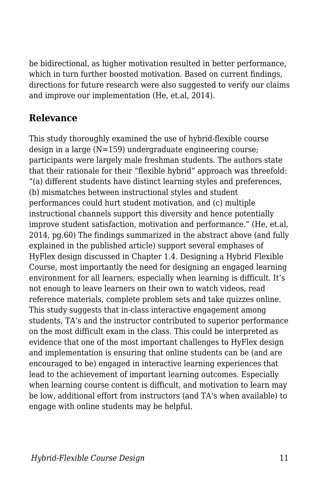be bidirectional, as higher motivation resulted in better performance, which in turn further boosted motivation. Based on current findings, directions for future research were also suggested to verify our claims and improve our implementation (He, et.al, 2014).

#### **Relevance**

This study thoroughly examined the use of hybrid-flexible course design in a large (N=159) undergraduate engineering course; participants were largely male freshman students. The authors state that their rationale for their "flexible hybrid" approach was threefold: "(a) different students have distinct learning styles and preferences, (b) mismatches between instructional styles and student performances could hurt student motivation, and (c) multiple instructional channels support this diversity and hence potentially improve student satisfaction, motivation and performance." (He, et.al, 2014, pg.60) The findings summarized in the abstract above (and fully explained in the published article) support several emphases of HyFlex design discussed in Chapter 1.4. Designing a Hybrid Flexible Course, most importantly the need for designing an engaged learning environment for all learners, especially when learning is difficult. It's not enough to leave learners on their own to watch videos, read reference materials, complete problem sets and take quizzes online. This study suggests that in-class interactive engagement among students, TA's and the instructor contributed to superior performance on the most difficult exam in the class. This could be interpreted as evidence that one of the most important challenges to HyFlex design and implementation is ensuring that online students can be (and are encouraged to be) engaged in interactive learning experiences that lead to the achievement of important learning outcomes. Especially when learning course content is difficult, and motivation to learn may be low, additional effort from instructors (and TA's when available) to engage with online students may be helpful.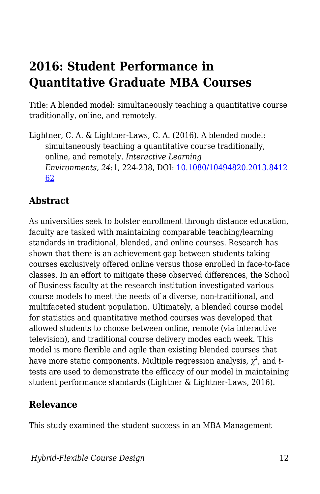# **2016: Student Performance in Quantitative Graduate MBA Courses**

Title: A blended model: simultaneously teaching a quantitative course traditionally, online, and remotely.

Lightner, C. A. & Lightner-Laws, C. A. (2016). A blended model: simultaneously teaching a quantitative course traditionally, online, and remotely. *Interactive Learning Environments, 24*:1, 224-238, DOI: [10.1080/10494820.2013.8412](https://doi.org/10.1080/10494820.2013.841262) [62](https://doi.org/10.1080/10494820.2013.841262)

#### **Abstract**

As universities seek to bolster enrollment through distance education, faculty are tasked with maintaining comparable teaching/learning standards in traditional, blended, and online courses. Research has shown that there is an achievement gap between students taking courses exclusively offered online versus those enrolled in face-to-face classes. In an effort to mitigate these observed differences, the School of Business faculty at the research institution investigated various course models to meet the needs of a diverse, non-traditional, and multifaceted student population. Ultimately, a blended course model for statistics and quantitative method courses was developed that allowed students to choose between online, remote (via interactive television), and traditional course delivery modes each week. This model is more flexible and agile than existing blended courses that have more static components. Multiple regression analysis,  $\chi^2$ , and *t*tests are used to demonstrate the efficacy of our model in maintaining student performance standards (Lightner & Lightner-Laws, 2016).

#### **Relevance**

This study examined the student success in an MBA Management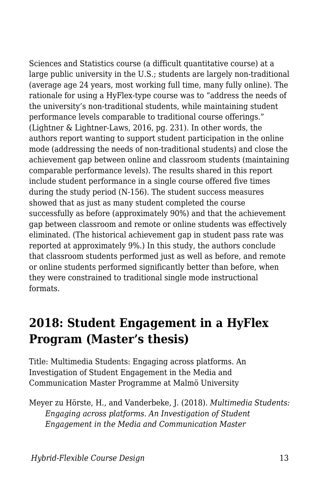Sciences and Statistics course (a difficult quantitative course) at a large public university in the U.S.; students are largely non-traditional (average age 24 years, most working full time, many fully online). The rationale for using a HyFlex-type course was to "address the needs of the university's non-traditional students, while maintaining student performance levels comparable to traditional course offerings." (Lightner & Lightner-Laws, 2016, pg. 231). In other words, the authors report wanting to support student participation in the online mode (addressing the needs of non-traditional students) and close the achievement gap between online and classroom students (maintaining comparable performance levels). The results shared in this report include student performance in a single course offered five times during the study period (N-156). The student success measures showed that as just as many student completed the course successfully as before (approximately 90%) and that the achievement gap between classroom and remote or online students was effectively eliminated. (The historical achievement gap in student pass rate was reported at approximately 9%.) In this study, the authors conclude that classroom students performed just as well as before, and remote or online students performed significantly better than before, when they were constrained to traditional single mode instructional formats.

### **2018: Student Engagement in a HyFlex Program (Master's thesis)**

Title: Multimedia Students: Engaging across platforms. An Investigation of Student Engagement in the Media and Communication Master Programme at Malmö University

Meyer zu Hörste, H., and Vanderbeke, J. (2018). *Multimedia Students: Engaging across platforms. An Investigation of Student Engagement in the Media and Communication Master*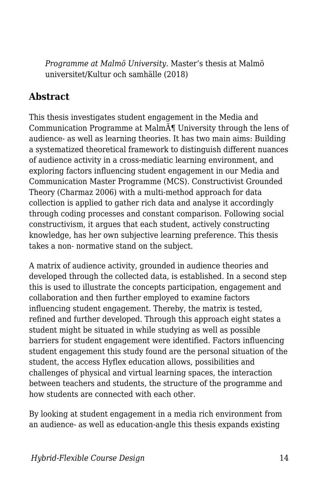*Programme at Malmö University.* Master's thesis at Malmö universitet/Kultur och samhälle (2018)

#### **Abstract**

This thesis investigates student engagement in the Media and Communication Programme at Malm $\tilde{A}$ <sup>*I*</sup> University through the lens of audience- as well as learning theories. It has two main aims: Building a systematized theoretical framework to distinguish different nuances of audience activity in a cross-mediatic learning environment, and exploring factors influencing student engagement in our Media and Communication Master Programme (MCS). Constructivist Grounded Theory (Charmaz 2006) with a multi-method approach for data collection is applied to gather rich data and analyse it accordingly through coding processes and constant comparison. Following social constructivism, it argues that each student, actively constructing knowledge, has her own subjective learning preference. This thesis takes a non- normative stand on the subject.

A matrix of audience activity, grounded in audience theories and developed through the collected data, is established. In a second step this is used to illustrate the concepts participation, engagement and collaboration and then further employed to examine factors influencing student engagement. Thereby, the matrix is tested, refined and further developed. Through this approach eight states a student might be situated in while studying as well as possible barriers for student engagement were identified. Factors influencing student engagement this study found are the personal situation of the student, the access Hyflex education allows, possibilities and challenges of physical and virtual learning spaces, the interaction between teachers and students, the structure of the programme and how students are connected with each other.

By looking at student engagement in a media rich environment from an audience- as well as education-angle this thesis expands existing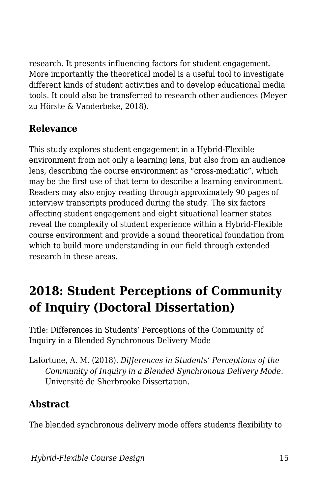research. It presents influencing factors for student engagement. More importantly the theoretical model is a useful tool to investigate different kinds of student activities and to develop educational media tools. It could also be transferred to research other audiences (Meyer zu Hörste & Vanderbeke, 2018).

#### **Relevance**

This study explores student engagement in a Hybrid-Flexible environment from not only a learning lens, but also from an audience lens, describing the course environment as "cross-mediatic", which may be the first use of that term to describe a learning environment. Readers may also enjoy reading through approximately 90 pages of interview transcripts produced during the study. The six factors affecting student engagement and eight situational learner states reveal the complexity of student experience within a Hybrid-Flexible course environment and provide a sound theoretical foundation from which to build more understanding in our field through extended research in these areas.

# **2018: Student Perceptions of Community of Inquiry (Doctoral Dissertation)**

Title: Differences in Students' Perceptions of the Community of Inquiry in a Blended Synchronous Delivery Mode

Lafortune, A. M. (2018). *Differences in Students' Perceptions of the Community of Inquiry in a Blended Synchronous Delivery Mode.* Université de Sherbrooke Dissertation.

#### **Abstract**

The blended synchronous delivery mode offers students flexibility to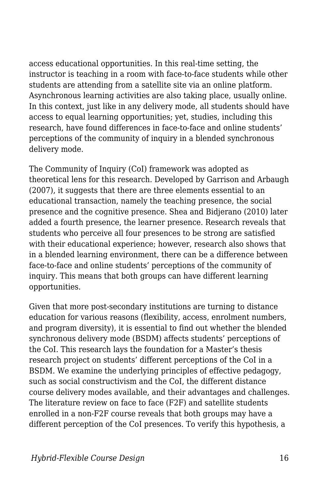access educational opportunities. In this real-time setting, the instructor is teaching in a room with face-to-face students while other students are attending from a satellite site via an online platform. Asynchronous learning activities are also taking place, usually online. In this context, just like in any delivery mode, all students should have access to equal learning opportunities; yet, studies, including this research, have found differences in face-to-face and online students' perceptions of the community of inquiry in a blended synchronous delivery mode.

The Community of Inquiry (CoI) framework was adopted as theoretical lens for this research. Developed by Garrison and Arbaugh (2007), it suggests that there are three elements essential to an educational transaction, namely the teaching presence, the social presence and the cognitive presence. Shea and Bidjerano (2010) later added a fourth presence, the learner presence. Research reveals that students who perceive all four presences to be strong are satisfied with their educational experience; however, research also shows that in a blended learning environment, there can be a difference between face-to-face and online students' perceptions of the community of inquiry. This means that both groups can have different learning opportunities.

Given that more post-secondary institutions are turning to distance education for various reasons (flexibility, access, enrolment numbers, and program diversity), it is essential to find out whether the blended synchronous delivery mode (BSDM) affects students' perceptions of the CoI. This research lays the foundation for a Master's thesis research project on students' different perceptions of the CoI in a BSDM. We examine the underlying principles of effective pedagogy, such as social constructivism and the CoI, the different distance course delivery modes available, and their advantages and challenges. The literature review on face to face (F2F) and satellite students enrolled in a non-F2F course reveals that both groups may have a different perception of the CoI presences. To verify this hypothesis, a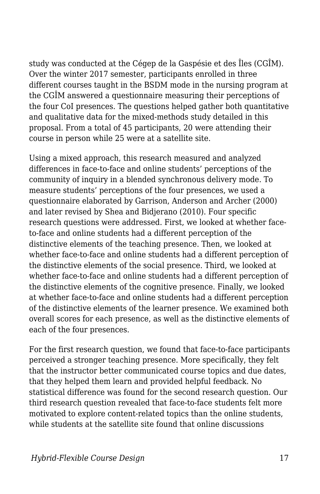study was conducted at the Cégep de la Gaspésie et des Îles (CGÎM). Over the winter 2017 semester, participants enrolled in three different courses taught in the BSDM mode in the nursing program at the CGÎM answered a questionnaire measuring their perceptions of the four CoI presences. The questions helped gather both quantitative and qualitative data for the mixed-methods study detailed in this proposal. From a total of 45 participants, 20 were attending their course in person while 25 were at a satellite site.

Using a mixed approach, this research measured and analyzed differences in face-to-face and online students' perceptions of the community of inquiry in a blended synchronous delivery mode. To measure students' perceptions of the four presences, we used a questionnaire elaborated by Garrison, Anderson and Archer (2000) and later revised by Shea and Bidjerano (2010). Four specific research questions were addressed. First, we looked at whether faceto-face and online students had a different perception of the distinctive elements of the teaching presence. Then, we looked at whether face-to-face and online students had a different perception of the distinctive elements of the social presence. Third, we looked at whether face-to-face and online students had a different perception of the distinctive elements of the cognitive presence. Finally, we looked at whether face-to-face and online students had a different perception of the distinctive elements of the learner presence. We examined both overall scores for each presence, as well as the distinctive elements of each of the four presences.

For the first research question, we found that face-to-face participants perceived a stronger teaching presence. More specifically, they felt that the instructor better communicated course topics and due dates, that they helped them learn and provided helpful feedback. No statistical difference was found for the second research question. Our third research question revealed that face-to-face students felt more motivated to explore content-related topics than the online students, while students at the satellite site found that online discussions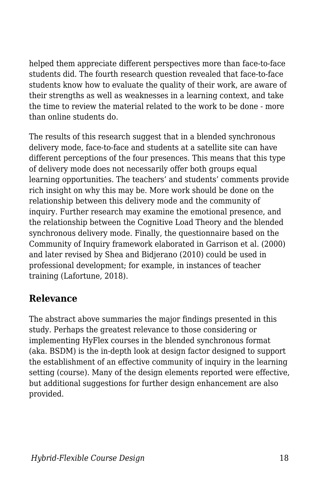helped them appreciate different perspectives more than face-to-face students did. The fourth research question revealed that face-to-face students know how to evaluate the quality of their work, are aware of their strengths as well as weaknesses in a learning context, and take the time to review the material related to the work to be done - more than online students do.

The results of this research suggest that in a blended synchronous delivery mode, face-to-face and students at a satellite site can have different perceptions of the four presences. This means that this type of delivery mode does not necessarily offer both groups equal learning opportunities. The teachers' and students' comments provide rich insight on why this may be. More work should be done on the relationship between this delivery mode and the community of inquiry. Further research may examine the emotional presence, and the relationship between the Cognitive Load Theory and the blended synchronous delivery mode. Finally, the questionnaire based on the Community of Inquiry framework elaborated in Garrison et al. (2000) and later revised by Shea and Bidjerano (2010) could be used in professional development; for example, in instances of teacher training (Lafortune, 2018).

#### **Relevance**

The abstract above summaries the major findings presented in this study. Perhaps the greatest relevance to those considering or implementing HyFlex courses in the blended synchronous format (aka. BSDM) is the in-depth look at design factor designed to support the establishment of an effective community of inquiry in the learning setting (course). Many of the design elements reported were effective, but additional suggestions for further design enhancement are also provided.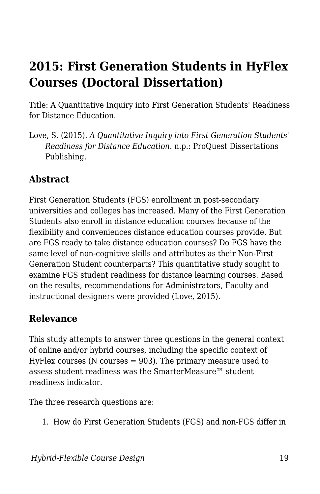# **2015: First Generation Students in HyFlex Courses (Doctoral Dissertation)**

Title: A Quantitative Inquiry into First Generation Students' Readiness for Distance Education.

Love, S. (2015). *A Quantitative Inquiry into First Generation Students' Readiness for Distance Education*. n.p.: ProQuest Dissertations Publishing.

#### **Abstract**

First Generation Students (FGS) enrollment in post-secondary universities and colleges has increased. Many of the First Generation Students also enroll in distance education courses because of the flexibility and conveniences distance education courses provide. But are FGS ready to take distance education courses? Do FGS have the same level of non-cognitive skills and attributes as their Non-First Generation Student counterparts? This quantitative study sought to examine FGS student readiness for distance learning courses. Based on the results, recommendations for Administrators, Faculty and instructional designers were provided (Love, 2015).

#### **Relevance**

This study attempts to answer three questions in the general context of online and/or hybrid courses, including the specific context of HyFlex courses (N courses  $= 903$ ). The primary measure used to assess student readiness was the SmarterMeasure™ student readiness indicator.

The three research questions are:

1. How do First Generation Students (FGS) and non-FGS differ in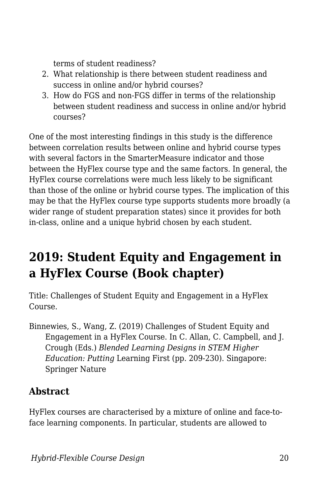terms of student readiness?

- 2. What relationship is there between student readiness and success in online and/or hybrid courses?
- 3. How do FGS and non-FGS differ in terms of the relationship between student readiness and success in online and/or hybrid courses?

One of the most interesting findings in this study is the difference between correlation results between online and hybrid course types with several factors in the SmarterMeasure indicator and those between the HyFlex course type and the same factors. In general, the HyFlex course correlations were much less likely to be significant than those of the online or hybrid course types. The implication of this may be that the HyFlex course type supports students more broadly (a wider range of student preparation states) since it provides for both in-class, online and a unique hybrid chosen by each student.

# **2019: Student Equity and Engagement in a HyFlex Course (Book chapter)**

Title: Challenges of Student Equity and Engagement in a HyFlex Course.

Binnewies, S., Wang, Z. (2019) Challenges of Student Equity and Engagement in a HyFlex Course. In C. Allan, C. Campbell, and J. Crough (Eds.) *Blended Learning Designs in STEM Higher Education: Putting* Learning First (pp. 209-230). Singapore: Springer Nature

#### **Abstract**

HyFlex courses are characterised by a mixture of online and face-toface learning components. In particular, students are allowed to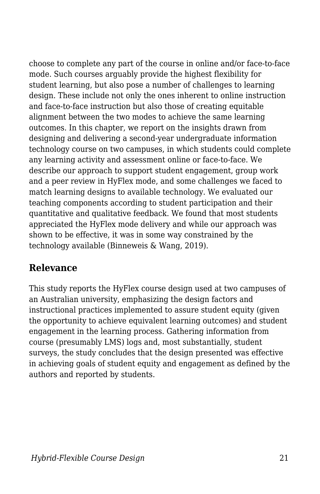choose to complete any part of the course in online and/or face-to-face mode. Such courses arguably provide the highest flexibility for student learning, but also pose a number of challenges to learning design. These include not only the ones inherent to online instruction and face-to-face instruction but also those of creating equitable alignment between the two modes to achieve the same learning outcomes. In this chapter, we report on the insights drawn from designing and delivering a second-year undergraduate information technology course on two campuses, in which students could complete any learning activity and assessment online or face-to-face. We describe our approach to support student engagement, group work and a peer review in HyFlex mode, and some challenges we faced to match learning designs to available technology. We evaluated our teaching components according to student participation and their quantitative and qualitative feedback. We found that most students appreciated the HyFlex mode delivery and while our approach was shown to be effective, it was in some way constrained by the technology available (Binneweis & Wang, 2019).

#### **Relevance**

This study reports the HyFlex course design used at two campuses of an Australian university, emphasizing the design factors and instructional practices implemented to assure student equity (given the opportunity to achieve equivalent learning outcomes) and student engagement in the learning process. Gathering information from course (presumably LMS) logs and, most substantially, student surveys, the study concludes that the design presented was effective in achieving goals of student equity and engagement as defined by the authors and reported by students.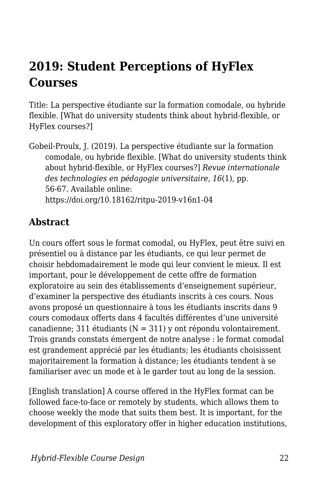# **2019: Student Perceptions of HyFlex Courses**

Title: La perspective étudiante sur la formation comodale, ou hybride flexible. [What do university students think about hybrid-flexible, or HyFlex courses?]

Gobeil-Proulx, J. (2019). La perspective étudiante sur la formation comodale, ou hybride flexible. [What do university students think about hybrid-flexible, or HyFlex courses?] *Revue internationale des technologies en pédagogie universitaire*, *16*(1), pp. 56-67. Available online: https://doi.org/10.18162/ritpu-2019-v16n1-04

#### **Abstract**

Un cours offert sous le format comodal, ou HyFlex, peut être suivi en présentiel ou à distance par les étudiants, ce qui leur permet de choisir hebdomadairement le mode qui leur convient le mieux. Il est important, pour le développement de cette offre de formation exploratoire au sein des établissements d'enseignement supérieur, d'examiner la perspective des étudiants inscrits à ces cours. Nous avons proposé un questionnaire à tous les étudiants inscrits dans 9 cours comodaux offerts dans 4 facultés différentes d'une université canadienne; 311 étudiants ( $N = 311$ ) y ont répondu volontairement. Trois grands constats émergent de notre analyse : le format comodal est grandement apprécié par les étudiants; les étudiants choisissent majoritairement la formation à distance; les étudiants tendent à se familiariser avec un mode et à le garder tout au long de la session.

[English translation] A course offered in the HyFlex format can be followed face-to-face or remotely by students, which allows them to choose weekly the mode that suits them best. It is important, for the development of this exploratory offer in higher education institutions,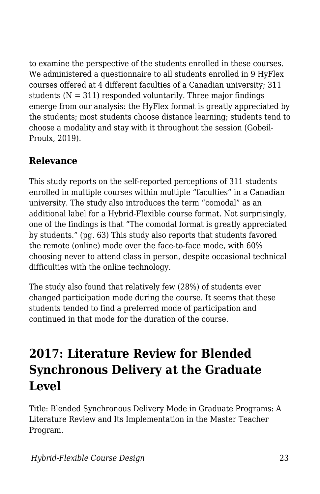to examine the perspective of the students enrolled in these courses. We administered a questionnaire to all students enrolled in 9 HyFlex courses offered at 4 different faculties of a Canadian university; 311 students  $(N = 311)$  responded voluntarily. Three major findings emerge from our analysis: the HyFlex format is greatly appreciated by the students; most students choose distance learning; students tend to choose a modality and stay with it throughout the session (Gobeil-Proulx, 2019).

#### **Relevance**

This study reports on the self-reported perceptions of 311 students enrolled in multiple courses within multiple "faculties" in a Canadian university. The study also introduces the term "comodal" as an additional label for a Hybrid-Flexible course format. Not surprisingly, one of the findings is that "The comodal format is greatly appreciated by students." (pg. 63) This study also reports that students favored the remote (online) mode over the face-to-face mode, with 60% choosing never to attend class in person, despite occasional technical difficulties with the online technology.

The study also found that relatively few (28%) of students ever changed participation mode during the course. It seems that these students tended to find a preferred mode of participation and continued in that mode for the duration of the course.

# **2017: Literature Review for Blended Synchronous Delivery at the Graduate Level**

Title: Blended Synchronous Delivery Mode in Graduate Programs: A Literature Review and Its Implementation in the Master Teacher Program.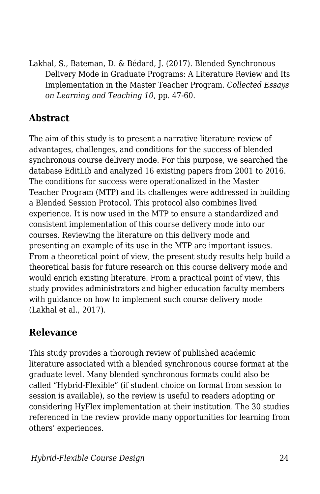Lakhal, S., Bateman, D. & Bédard, J. (2017). Blended Synchronous Delivery Mode in Graduate Programs: A Literature Review and Its Implementation in the Master Teacher Program. *Collected Essays on Learning and Teaching 10*, pp. 47-60.

#### **Abstract**

The aim of this study is to present a narrative literature review of advantages, challenges, and conditions for the success of blended synchronous course delivery mode. For this purpose, we searched the database EditLib and analyzed 16 existing papers from 2001 to 2016. The conditions for success were operationalized in the Master Teacher Program (MTP) and its challenges were addressed in building a Blended Session Protocol. This protocol also combines lived experience. It is now used in the MTP to ensure a standardized and consistent implementation of this course delivery mode into our courses. Reviewing the literature on this delivery mode and presenting an example of its use in the MTP are important issues. From a theoretical point of view, the present study results help build a theoretical basis for future research on this course delivery mode and would enrich existing literature. From a practical point of view, this study provides administrators and higher education faculty members with guidance on how to implement such course delivery mode (Lakhal et al., 2017).

#### **Relevance**

This study provides a thorough review of published academic literature associated with a blended synchronous course format at the graduate level. Many blended synchronous formats could also be called "Hybrid-Flexible" (if student choice on format from session to session is available), so the review is useful to readers adopting or considering HyFlex implementation at their institution. The 30 studies referenced in the review provide many opportunities for learning from others' experiences.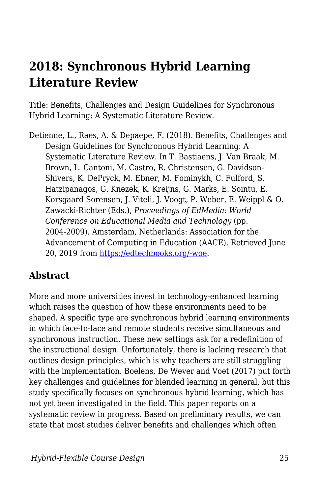### **2018: Synchronous Hybrid Learning Literature Review**

Title: Benefits, Challenges and Design Guidelines for Synchronous Hybrid Learning: A Systematic Literature Review.

Detienne, L., Raes, A. & Depaepe, F. (2018). Benefits, Challenges and Design Guidelines for Synchronous Hybrid Learning: A Systematic Literature Review. In T. Bastiaens, J. Van Braak, M. Brown, L. Cantoni, M. Castro, R. Christensen, G. Davidson-Shivers, K. DePryck, M. Ebner, M. Fominykh, C. Fulford, S. Hatzipanagos, G. Knezek, K. Kreijns, G. Marks, E. Sointu, E. Korsgaard Sorensen, J. Viteli, J. Voogt, P. Weber, E. Weippl & O. Zawacki-Richter (Eds.), *Proceedings of EdMedia: World Conference on Educational Media and Technology* (pp. 2004-2009). Amsterdam, Netherlands: Association for the Advancement of Computing in Education (AACE). Retrieved June 20, 2019 from [https://edtechbooks.org/-woe](https://www.learntechlib.org/primary/p/184440/).

#### **Abstract**

More and more universities invest in technology-enhanced learning which raises the question of how these environments need to be shaped. A specific type are synchronous hybrid learning environments in which face-to-face and remote students receive simultaneous and synchronous instruction. These new settings ask for a redefinition of the instructional design. Unfortunately, there is lacking research that outlines design principles, which is why teachers are still struggling with the implementation. Boelens, De Wever and Voet (2017) put forth key challenges and guidelines for blended learning in general, but this study specifically focuses on synchronous hybrid learning, which has not yet been investigated in the field. This paper reports on a systematic review in progress. Based on preliminary results, we can state that most studies deliver benefits and challenges which often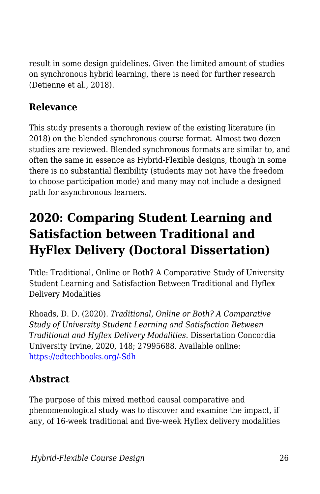result in some design guidelines. Given the limited amount of studies on synchronous hybrid learning, there is need for further research (Detienne et al., 2018).

#### **Relevance**

This study presents a thorough review of the existing literature (in 2018) on the blended synchronous course format. Almost two dozen studies are reviewed. Blended synchronous formats are similar to, and often the same in essence as Hybrid-Flexible designs, though in some there is no substantial flexibility (students may not have the freedom to choose participation mode) and many may not include a designed path for asynchronous learners.

# **2020: Comparing Student Learning and Satisfaction between Traditional and HyFlex Delivery (Doctoral Dissertation)**

Title: Traditional, Online or Both? A Comparative Study of University Student Learning and Satisfaction Between Traditional and Hyflex Delivery Modalities

Rhoads, D. D. (2020). *Traditional, Online or Both? A Comparative Study of University Student Learning and Satisfaction Between Traditional and Hyflex Delivery Modalities.* Dissertation Concordia University Irvine, 2020, 148; 27995688. Available online: [https://edtechbooks.org/-Sdh](https://pqdtopen.proquest.com/pubnum/27995688.html)

#### **Abstract**

The purpose of this mixed method causal comparative and phenomenological study was to discover and examine the impact, if any, of 16-week traditional and five-week Hyflex delivery modalities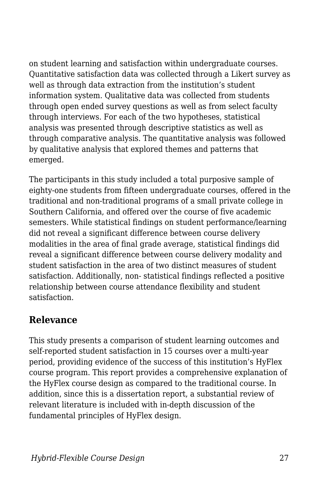on student learning and satisfaction within undergraduate courses. Quantitative satisfaction data was collected through a Likert survey as well as through data extraction from the institution's student information system. Qualitative data was collected from students through open ended survey questions as well as from select faculty through interviews. For each of the two hypotheses, statistical analysis was presented through descriptive statistics as well as through comparative analysis. The quantitative analysis was followed by qualitative analysis that explored themes and patterns that emerged.

The participants in this study included a total purposive sample of eighty-one students from fifteen undergraduate courses, offered in the traditional and non-traditional programs of a small private college in Southern California, and offered over the course of five academic semesters. While statistical findings on student performance/learning did not reveal a significant difference between course delivery modalities in the area of final grade average, statistical findings did reveal a significant difference between course delivery modality and student satisfaction in the area of two distinct measures of student satisfaction. Additionally, non- statistical findings reflected a positive relationship between course attendance flexibility and student satisfaction.

#### **Relevance**

This study presents a comparison of student learning outcomes and self-reported student satisfaction in 15 courses over a multi-year period, providing evidence of the success of this institution's HyFlex course program. This report provides a comprehensive explanation of the HyFlex course design as compared to the traditional course. In addition, since this is a dissertation report, a substantial review of relevant literature is included with in-depth discussion of the fundamental principles of HyFlex design.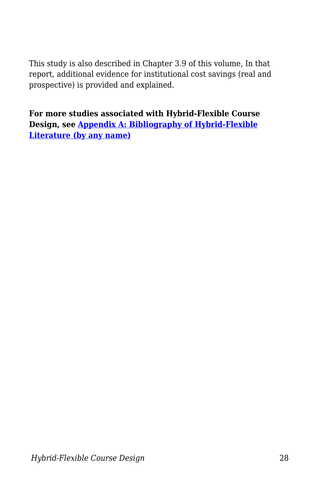This study is also described in Chapter 3.9 of this volume, In that report, additional evidence for institutional cost savings (real and prospective) is provided and explained.

**For more studies associated with Hybrid-Flexible Course Design, see [Appendix A: Bibliography of Hybrid-Flexible](http://edtechbooks.org/hyflex/biblio/) [Literature \(by any name\)](http://edtechbooks.org/hyflex/biblio/)**